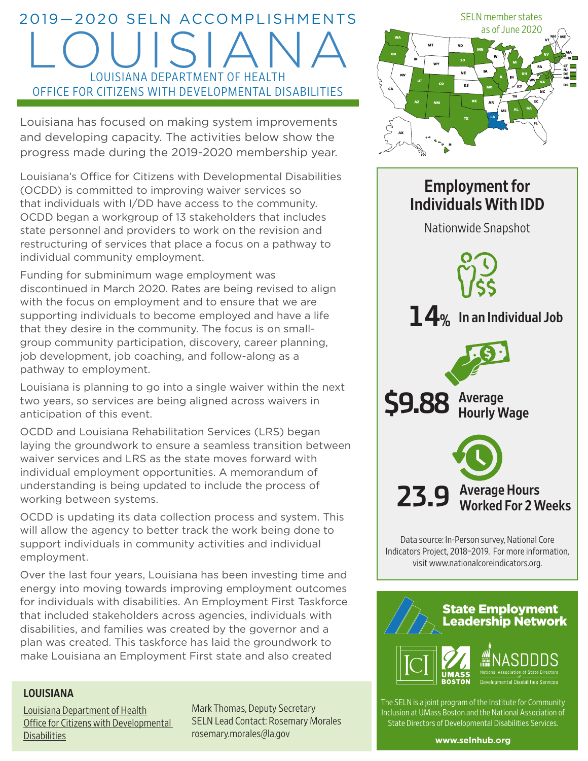# 2019—2020 SELN ACCOMPLISHMENTS LOUISIANA LOUISIANA DEPARTMENT OF HEALTH OFFICE FOR CITIZENS WITH DEVELOPMENTAL DISABILITIES

Louisiana has focused on making system improvements and developing capacity. The activities below show the progress made during the 2019-2020 membership year.

Louisiana's Office for Citizens with Developmental Disabilities (OCDD) is committed to improving waiver services so that individuals with I/DD have access to the community. OCDD began a workgroup of 13 stakeholders that includes state personnel and providers to work on the revision and restructuring of services that place a focus on a pathway to individual community employment.

Funding for subminimum wage employment was discontinued in March 2020. Rates are being revised to align with the focus on employment and to ensure that we are supporting individuals to become employed and have a life that they desire in the community. The focus is on smallgroup community participation, discovery, career planning, job development, job coaching, and follow-along as a pathway to employment.

Louisiana is planning to go into a single waiver within the next two years, so services are being aligned across waivers in anticipation of this event.

OCDD and Louisiana Rehabilitation Services (LRS) began laying the groundwork to ensure a seamless transition between waiver services and LRS as the state moves forward with individual employment opportunities. A memorandum of understanding is being updated to include the process of working between systems.

OCDD is updating its data collection process and system. This will allow the agency to better track the work being done to support individuals in community activities and individual employment.

Over the last four years, Louisiana has been investing time and energy into moving towards improving employment outcomes for individuals with disabilities. An Employment First Taskforce that included stakeholders across agencies, individuals with disabilities, and families was created by the governor and a plan was created. This taskforce has laid the groundwork to make Louisiana an Employment First state and also created

#### LOUISIANA

[Louisiana Department of Health](http://ldh.la.gov/index.cfm/subhome/11) [Office for Citizens with Developmental](http://ldh.la.gov/index.cfm/subhome/11)  **[Disabilities](http://ldh.la.gov/index.cfm/subhome/11)** 

Mark Thomas, Deputy Secretary SELN Lead Contact: Rosemary Morales [rosemary.morales@la.gov](mailto:rosemary.morales@la.gov)



# Employment for Individuals With IDD Nationwide Snapshot 23.9 Average Hours Worked For 2 Weeks **14%** In an Individual Job **\$9.88** Average Hourly Wage

Data source: In-Person survey, National Core Indicators Project, 2018–2019. For more information, visit [www.nationalcoreindicators.org](http://www.nationalcoreindicators.org).



The SELN is a joint program of the Institute for Community Inclusion at UMass Boston and the National Association of State Directors of Developmental Disabilities Services.

**[www.selnhub.org](http://www.selnhub.org)**